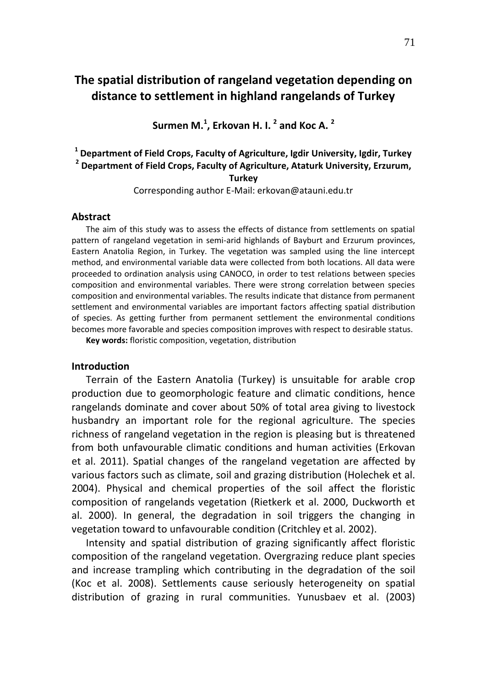# **The spatial distribution of rangeland vegetation depending on distance to settlement in highland rangelands of Turkey**

**Surmen M. 1 , Erkovan H. I. 2 and Koc A. 2**

## **1 Department of Field Crops, Faculty of Agriculture, Igdir University, Igdir, Turkey 2 Department of Field Crops, Faculty of Agriculture, Ataturk University, Erzurum, Turkey**

Corresponding author E-Mail: erkovan@atauni.edu.tr

#### **Abstract**

The aim of this study was to assess the effects of distance from settlements on spatial pattern of rangeland vegetation in semi-arid highlands of Bayburt and Erzurum provinces, Eastern Anatolia Region, in Turkey. The vegetation was sampled using the line intercept method, and environmental variable data were collected from both locations. All data were proceeded to ordination analysis using CANOCO, in order to test relations between species composition and environmental variables. There were strong correlation between species composition and environmental variables. The results indicate that distance from permanent settlement and environmental variables are important factors affecting spatial distribution of species. As getting further from permanent settlement the environmental conditions becomes more favorable and species composition improves with respect to desirable status.

**Key words:** floristic composition, vegetation, distribution

#### **Introduction**

Terrain of the Eastern Anatolia (Turkey) is unsuitable for arable crop production due to geomorphologic feature and climatic conditions, hence rangelands dominate and cover about 50% of total area giving to livestock husbandry an important role for the regional agriculture. The species richness of rangeland vegetation in the region is pleasing but is threatened from both unfavourable climatic conditions and human activities (Erkovan et al. 2011). Spatial changes of the rangeland vegetation are affected by various factors such as climate, soil and grazing distribution (Holechek et al. 2004). Physical and chemical properties of the soil affect the floristic composition of rangelands vegetation (Rietkerk et al. 2000, Duckworth et al. 2000). In general, the degradation in soil triggers the changing in vegetation toward to unfavourable condition (Critchley et al. 2002).

Intensity and spatial distribution of grazing significantly affect floristic composition of the rangeland vegetation. Overgrazing reduce plant species and increase trampling which contributing in the degradation of the soil (Koc et al. 2008). Settlements cause seriously heterogeneity on spatial distribution of grazing in rural communities. Yunusbaev et al. (2003)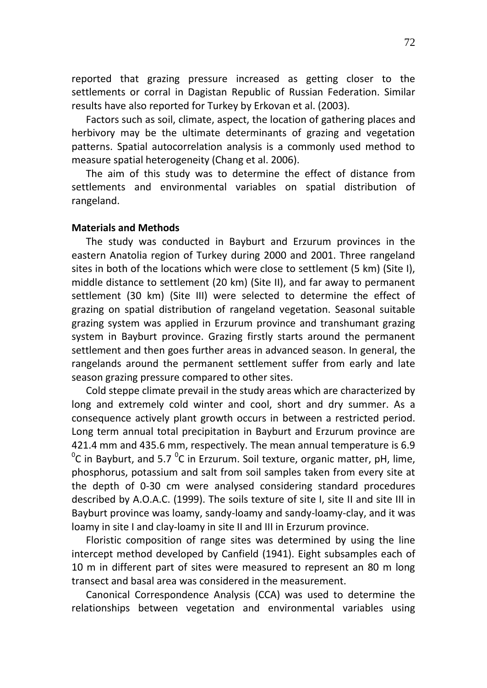reported that grazing pressure increased as getting closer to the settlements or corral in Dagistan Republic of Russian Federation. Similar results have also reported for Turkey by Erkovan et al. (2003).

Factors such as soil, climate, aspect, the location of gathering places and herbivory may be the ultimate determinants of grazing and vegetation patterns. Spatial autocorrelation analysis is a commonly used method to measure spatial heterogeneity (Chang et al. 2006).

The aim of this study was to determine the effect of distance from settlements and environmental variables on spatial distribution of rangeland.

### **Materials and Methods**

The study was conducted in Bayburt and Erzurum provinces in the eastern Anatolia region of Turkey during 2000 and 2001. Three rangeland sites in both of the locations which were close to settlement (5 km) (Site I), middle distance to settlement (20 km) (Site II), and far away to permanent settlement (30 km) (Site III) were selected to determine the effect of grazing on spatial distribution of rangeland vegetation. Seasonal suitable grazing system was applied in Erzurum province and transhumant grazing system in Bayburt province. Grazing firstly starts around the permanent settlement and then goes further areas in advanced season. In general, the rangelands around the permanent settlement suffer from early and late season grazing pressure compared to other sites.

Cold steppe climate prevail in the study areas which are characterized by long and extremely cold winter and cool, short and dry summer. As a consequence actively plant growth occurs in between a restricted period. Long term annual total precipitation in Bayburt and Erzurum province are 421.4 mm and 435.6 mm, respectively. The mean annual temperature is 6.9  $\rm ^{0}C$  in Bayburt, and 5.7  $\rm ^{0}C$  in Erzurum. Soil texture, organic matter, pH, lime, phosphorus, potassium and salt from soil samples taken from every site at the depth of 0-30 cm were analysed considering standard procedures described by A.O.A.C. (1999). The soils texture of site I, site II and site III in Bayburt province was loamy, sandy-loamy and sandy-loamy-clay, and it was loamy in site I and clay-loamy in site II and III in Erzurum province.

Floristic composition of range sites was determined by using the line intercept method developed by Canfield (1941). Eight subsamples each of 10 m in different part of sites were measured to represent an 80 m long transect and basal area was considered in the measurement.

Canonical Correspondence Analysis (CCA) was used to determine the relationships between vegetation and environmental variables using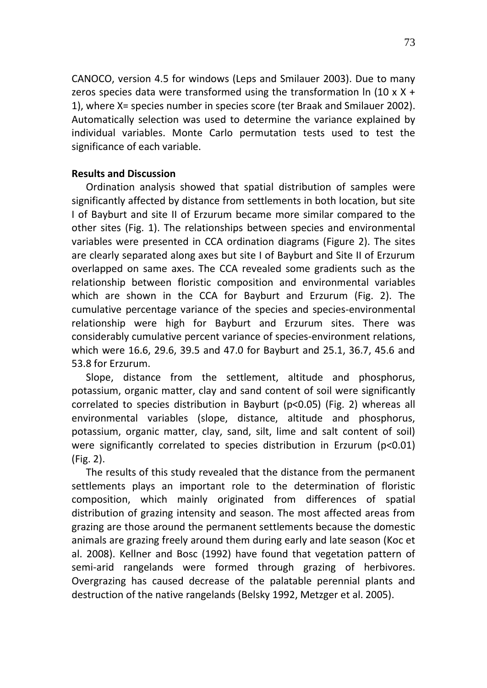CANOCO, version 4.5 for windows (Leps and Smilauer 2003). Due to many zeros species data were transformed using the transformation  $\ln (10 \times X +$ 1), where X= species number in species score (ter Braak and Smilauer 2002). Automatically selection was used to determine the variance explained by individual variables. Monte Carlo permutation tests used to test the significance of each variable.

## **Results and Discussion**

Ordination analysis showed that spatial distribution of samples were significantly affected by distance from settlements in both location, but site I of Bayburt and site II of Erzurum became more similar compared to the other sites (Fig. 1). The relationships between species and environmental variables were presented in CCA ordination diagrams (Figure 2). The sites are clearly separated along axes but site I of Bayburt and Site II of Erzurum overlapped on same axes. The CCA revealed some gradients such as the relationship between floristic composition and environmental variables which are shown in the CCA for Bayburt and Erzurum (Fig. 2). The cumulative percentage variance of the species and species-environmental relationship were high for Bayburt and Erzurum sites. There was considerably cumulative percent variance of species-environment relations, which were 16.6, 29.6, 39.5 and 47.0 for Bayburt and 25.1, 36.7, 45.6 and 53.8 for Erzurum.

Slope, distance from the settlement, altitude and phosphorus, potassium, organic matter, clay and sand content of soil were significantly correlated to species distribution in Bayburt (p<0.05) (Fig. 2) whereas all environmental variables (slope, distance, altitude and phosphorus, potassium, organic matter, clay, sand, silt, lime and salt content of soil) were significantly correlated to species distribution in Erzurum (p<0.01) (Fig. 2).

The results of this study revealed that the distance from the permanent settlements plays an important role to the determination of floristic composition, which mainly originated from differences of spatial distribution of grazing intensity and season. The most affected areas from grazing are those around the permanent settlements because the domestic animals are grazing freely around them during early and late season (Koc et al. 2008). Kellner and Bosc (1992) have found that vegetation pattern of semi-arid rangelands were formed through grazing of herbivores. Overgrazing has caused decrease of the palatable perennial plants and destruction of the native rangelands (Belsky 1992, Metzger et al. 2005).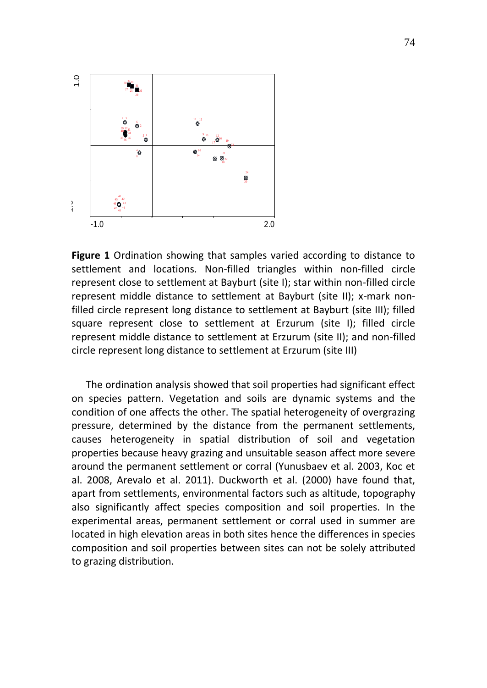

**Figure 1** Ordination showing that samples varied according to distance to settlement and locations. Non-filled triangles within non-filled circle represent close to settlement at Bayburt (site I); star within non-filled circle represent middle distance to settlement at Bayburt (site II); x-mark nonfilled circle represent long distance to settlement at Bayburt (site III); filled square represent close to settlement at Erzurum (site I); filled circle represent middle distance to settlement at Erzurum (site II); and non-filled circle represent long distance to settlement at Erzurum (site III)

The ordination analysis showed that soil properties had significant effect on species pattern. Vegetation and soils are dynamic systems and the condition of one affects the other. The spatial heterogeneity of overgrazing pressure, determined by the distance from the permanent settlements, causes heterogeneity in spatial distribution of soil and vegetation properties because heavy grazing and unsuitable season affect more severe around the permanent settlement or corral (Yunusbaev et al. 2003, Koc et al. 2008, Arevalo et al. 2011). Duckworth et al. (2000) have found that, apart from settlements, environmental factors such as altitude, topography also significantly affect species composition and soil properties. In the experimental areas, permanent settlement or corral used in summer are located in high elevation areas in both sites hence the differences in species composition and soil properties between sites can not be solely attributed to grazing distribution.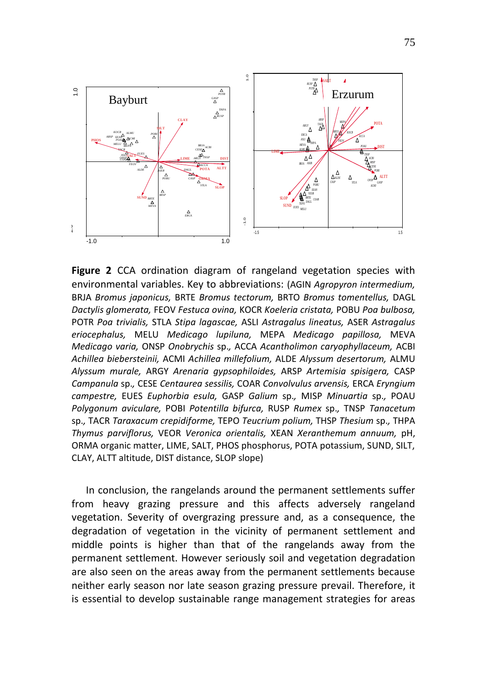

**Figure 2** CCA ordination diagram of rangeland vegetation species with environmental variables. Key to abbreviations: (AGIN *Agropyron intermedium,* BRJA *Bromus japonicus,* BRTE *Bromus tectorum,* BRTO *Bromus tomentellus,* DAGL *Dactylis glomerata,* FEOV *Festuca ovina,* KOCR *Koeleria cristata,* POBU *Poa bulbosa,* POTR *Poa trivialis,* STLA *Stipa lagascae,* ASLI *Astragalus lineatus,* ASER *Astragalus eriocephalus,* MELU *Medicago lupiluna,* MEPA *Medicago papillosa,* MEVA *Medicago varia,* ONSP *Onobrychis* sp.*,* ACCA *Acantholimon caryophyllaceum,* ACBI *Achillea biebersteinii,* ACMI *Achillea millefolium,* ALDE *Alyssum desertorum,* ALMU *Alyssum murale,* ARGY *Arenaria gypsophiloides,* ARSP *Artemisia spisigera,* CASP *Campanula* sp.*,* CESE *Centaurea sessilis,* COAR *Convolvulus arvensis,* ERCA *Eryngium campestre,* EUES *Euphorbia esula,* GASP *Galium* sp.*,* MISP *Minuartia* sp.*,* POAU *Polygonum aviculare,* POBI *Potentilla bifurca,* RUSP *Rumex* sp.*,* TNSP *Tanacetum*  sp.*,* TACR *Taraxacum crepidiforme,* TEPO *Teucrium polium,* THSP *Thesium* sp.*,* THPA *Thymus parviflorus,* VEOR *Veronica orientalis,* XEAN *Xeranthemum annuum,* pH, ORMA organic matter, LIME, SALT, PHOS phosphorus, POTA potassium, SUND, SILT, CLAY, ALTT altitude, DIST distance, SLOP slope)

In conclusion, the rangelands around the permanent settlements suffer from heavy grazing pressure and this affects adversely rangeland vegetation. Severity of overgrazing pressure and, as a consequence, the degradation of vegetation in the vicinity of permanent settlement and middle points is higher than that of the rangelands away from the permanent settlement. However seriously soil and vegetation degradation are also seen on the areas away from the permanent settlements because neither early season nor late season grazing pressure prevail. Therefore, it is essential to develop sustainable range management strategies for areas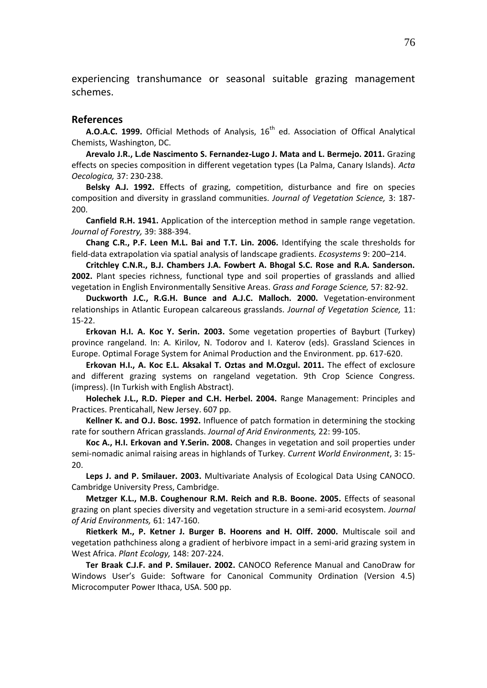experiencing transhumance or seasonal suitable grazing management schemes.

#### **References**

**A.O.A.C. 1999.** Official Methods of Analysis, 16<sup>th</sup> ed. Association of Offical Analytical Chemists, Washington, DC.

**Arevalo J.R., L.de Nascimento S. Fernandez-Lugo J. Mata and L. Bermejo. 2011.** Grazing effects on species composition in different vegetation types (La Palma, Canary Islands). *Acta Oecologica,* 37: 230-238.

**Belsky A.J. 1992.** Effects of grazing, competition, disturbance and fire on species composition and diversity in grassland communities. *Journal of Vegetation Science,* 3: 187- 200.

**Canfield R.H. 1941.** Application of the interception method in sample range vegetation. *Journal of Forestry,* 39: 388-394.

**Chang C.R., P.F. Leen M.L. Bai and T.T. Lin. 2006.** Identifying the scale thresholds for field-data extrapolation via spatial analysis of landscape gradients. *Ecosystems* 9: 200–214.

**Critchley C.N.R., B.J. Chambers J.A. Fowbert A. Bhogal S.C. Rose and R.A. Sanderson. 2002.** Plant species richness, functional type and soil properties of grasslands and allied vegetation in English Environmentally Sensitive Areas. *Grass and Forage Science,* 57: 82-92.

**Duckworth J.C., R.G.H. Bunce and A.J.C. Malloch. 2000.** Vegetation-environment relationships in Atlantic European calcareous grasslands. *Journal of Vegetation Science,* 11: 15-22.

**Erkovan H.I. A. Koc Y. Serin. 2003.** Some vegetation properties of Bayburt (Turkey) province rangeland. In: A. Kirilov, N. Todorov and I. Katerov (eds). Grassland Sciences in Europe. Optimal Forage System for Animal Production and the Environment. pp. 617-620.

**Erkovan H.I., A. Koc E.L. Aksakal T. Oztas and M.Ozgul. 2011.** The effect of exclosure and different grazing systems on rangeland vegetation. 9th Crop Science Congress. (impress). (In Turkish with English Abstract).

**Holechek J.L., R.D. Pieper and C.H. Herbel. 2004.** Range Management: Principles and Practices. Prenticahall, New Jersey. 607 pp.

**Kellner K. and O.J. Bosc. 1992.** Influence of patch formation in determining the stocking rate for southern African grasslands. *Journal of Arid Environments,* 22: 99-105.

**Koc A., H.I. Erkovan and Y.Serin. 2008.** Changes in vegetation and soil properties under semi-nomadic animal raising areas in highlands of Turkey. *Current World Environment*, 3: 15- 20.

**Leps J. and P. Smilauer. 2003.** Multivariate Analysis of Ecological Data Using CANOCO. Cambridge University Press, Cambridge.

**Metzger K.L., M.B. Coughenour R.M. Reich and R.B. Boone. 2005.** Effects of seasonal grazing on plant species diversity and vegetation structure in a semi-arid ecosystem. *Journal of Arid Environments,* 61: 147-160.

**Rietkerk M., P. Ketner J. Burger B. Hoorens and H. Olff. 2000.** Multiscale soil and vegetation pathchiness along a gradient of herbivore impact in a semi-arid grazing system in West Africa. *Plant Ecology,* 148: 207-224.

**Ter Braak C.J.F. and P. Smilauer. 2002.** CANOCO Reference Manual and CanoDraw for Windows User's Guide: Software for Canonical Community Ordination (Version 4.5) Microcomputer Power Ithaca, USA. 500 pp.